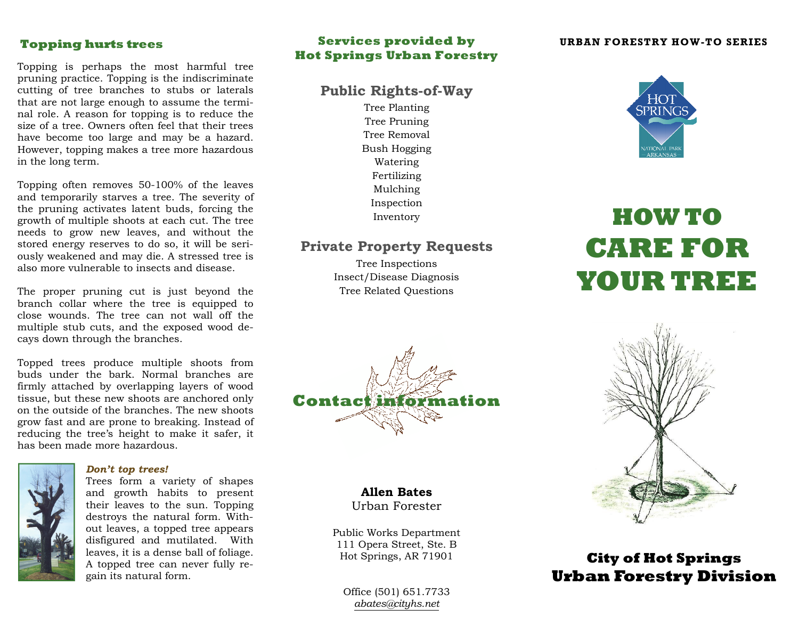## **Topping hurts trees**

Topping is perhaps the most harmful tree pruning practice. Topping is the indiscriminate cutting of tree branches to stubs or laterals that are not large enough to assume the terminal role. A reason for topping is to reduce the size of a tree. Owners often feel that their trees have become too large and may be a hazard. However, topping makes a tree more hazardous in the long term.

Topping often removes 50-100% of the leaves and temporarily starves a tree. The severity of the pruning activates latent buds, forcing the growth of multiple shoots at each cut. The tree needs to grow new leaves, and without the stored energy reserves to do so, it will be seriously weakened and may die. A stressed tree is also more vulnerable to insects and disease.

The proper pruning cut is just beyond the branch collar where the tree is equipped to close wounds. The tree can not wall off the multiple stub cuts, and the exposed wood decays down through the branches.

Topped trees produce multiple shoots from buds under the bark. Normal branches are firmly attached by overlapping layers of wood tissue, but these new shoots are anchored only on the outside of the branches. The new shoots grow fast and are prone to breaking. Instead of reducing the tree's height to make it safer, it has been made more hazardous.



#### *Don't top trees!*

Trees form a variety of shapes and growth habits to present their leaves to the sun. Topping destroys the natural form. Without leaves, a topped tree appears disfigured and mutilated. With leaves, it is a dense ball of foliage. A topped tree can never fully regain its natural form.

## **Services provided by Hot Springs Urban Forestry**

## **Public Rights-of-Way**

Tree Planting Tree Pruning Tree Removal Bush Hogging Watering Fertilizing Mulching Inspection Inventory

## **Private Property Requests**

Tree Inspections Insect/Disease Diagnosis Tree Related Questions



# **Allen Bates**

Urban Forester

Public Works Department 111 Opera Street, Ste. BHot Springs, AR 71901

Office (501) 651.7733*abates@cityhs.net*

#### **URBAN FORESTRY HOW-TO SERIES**



# **HOW TO CARE FOR YOUR TREE**



# **City of Hot Springs Urban Forestry Division**